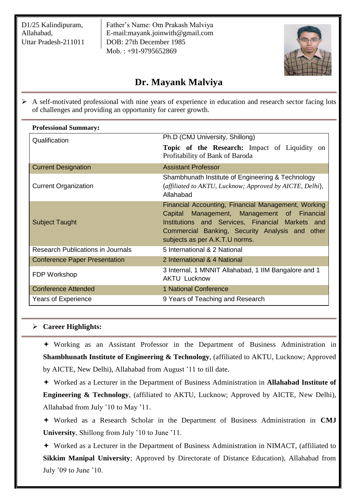D1/25 Kalindipuram, Allahabad, Uttar Pradesh-211011

Father's Name: Om Prakash Malviya E-mail:mayank.joinwith@gmail.com DOB: 27th December 1985 Mob. : +91-9795652869



# **Dr. Mayank Malviya**

 $\triangleright$  A self-motivated professional with nine years of experience in education and research sector facing lots of challenges and providing an opportunity for career growth.

| <b>Professional Summary:</b>             |                                                                                                                                                                                                                                             |
|------------------------------------------|---------------------------------------------------------------------------------------------------------------------------------------------------------------------------------------------------------------------------------------------|
| Qualification                            | Ph.D (CMJ University, Shillong)                                                                                                                                                                                                             |
|                                          | <b>Topic of the Research:</b> Impact of Liquidity on<br>Profitability of Bank of Baroda                                                                                                                                                     |
| <b>Current Designation</b>               | <b>Assistant Professor</b>                                                                                                                                                                                                                  |
| <b>Current Organization</b>              | Shambhunath Institute of Engineering & Technology<br>(affiliated to AKTU, Lucknow; Approved by AICTE, Delhi),<br>Allahabad                                                                                                                  |
| <b>Subject Taught</b>                    | Financial Accounting, Financial Management, Working<br>Capital Management, Management of Financial<br>Institutions and Services, Financial Markets and<br>Commercial Banking, Security Analysis and other<br>subjects as per A.K.T.U norms. |
| <b>Research Publications in Journals</b> | 5 International & 2 National                                                                                                                                                                                                                |
| <b>Conference Paper Presentation</b>     | 2 International & 4 National                                                                                                                                                                                                                |
| FDP Workshop                             | 3 Internal, 1 MNNIT Allahabad, 1 IIM Bangalore and 1<br><b>AKTU Lucknow</b>                                                                                                                                                                 |
| <b>Conference Attended</b>               | 1 National Conference                                                                                                                                                                                                                       |
| Years of Experience                      | 9 Years of Teaching and Research                                                                                                                                                                                                            |

# **Career Highlights:**

 Working as an Assistant Professor in the Department of Business Administration in **Shambhunath Institute of Engineering & Technology**, (affiliated to AKTU, Lucknow; Approved by AICTE, New Delhi), Allahabad from August '11 to till date.

 Worked as a Lecturer in the Department of Business Administration in **Allahabad Institute of Engineering & Technology**, (affiliated to AKTU, Lucknow; Approved by AICTE, New Delhi), Allahabad from July '10 to May '11.

 Worked as a Research Scholar in the Department of Business Administration in **CMJ University**, Shillong from July '10 to June '11.

 Worked as a Lecturer in the Department of Business Administration in NIMACT, (affiliated to **Sikkim Manipal University**; Approved by Directorate of Distance Education), Allahabad from July '09 to June '10.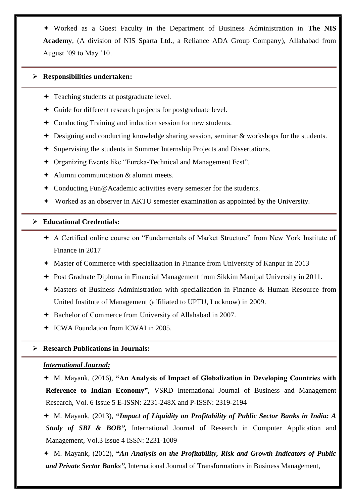Worked as a Guest Faculty in the Department of Business Administration in **The NIS Academy**, (A division of NIS Sparta Ltd., a Reliance ADA Group Company), Allahabad from August '09 to May '10.

## **Responsibilities undertaken:**

- **← Teaching students at postgraduate level.**
- Guide for different research projects for postgraduate level.
- Conducting Training and induction session for new students.
- Designing and conducting knowledge sharing session, seminar & workshops for the students.
- Supervising the students in Summer Internship Projects and Dissertations.
- Organizing Events like "Eureka-Technical and Management Fest".
- Alumni communication & alumni meets.
- Conducting Fun@Academic activities every semester for the students.
- Worked as an observer in AKTU semester examination as appointed by the University.

## **Educational Credentials:**

- A Certified online course on "Fundamentals of Market Structure" from New York Institute of Finance in 2017
- Master of Commerce with specialization in Finance from University of Kanpur in 2013
- Post Graduate Diploma in Financial Management from Sikkim Manipal University in 2011.
- Masters of Business Administration with specialization in Finance & Human Resource from United Institute of Management (affiliated to UPTU, Lucknow) in 2009.
- Bachelor of Commerce from University of Allahabad in 2007.
- ICWA Foundation from ICWAI in 2005.

## **Research Publications in Journals:**

## *International Journal:*

 M. Mayank, (2016), **"An Analysis of Impact of Globalization in Developing Countries with Reference to Indian Economy"**, VSRD International Journal of Business and Management Research, Vol. 6 Issue 5 E-ISSN: 2231-248X and P-ISSN: 2319-2194

 M. Mayank, (2013), **"***Impact of Liquidity on Profitability of Public Sector Banks in India: A Study of SBI & BOB",* International Journal of Research in Computer Application and Management, Vol.3 Issue 4 ISSN: 2231-1009

 M. Mayank, (2012), **"***An Analysis on the Profitability, Risk and Growth Indicators of Public and Private Sector Banks",* International Journal of Transformations in Business Management,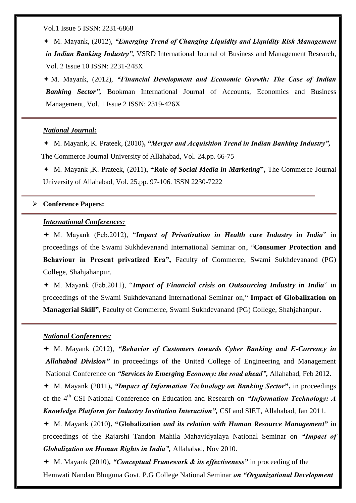Vol.1 Issue 5 ISSN: 2231-6868

 M. Mayank, (2012), *"Emerging Trend of Changing Liquidity and Liquidity Risk Management in Indian Banking Industry",* VSRD International Journal of Business and Management Research, Vol. 2 Issue 10 ISSN: 2231-248X

 M. Mayank, (2012), *"Financial Development and Economic Growth: The Case of Indian Banking Sector",* Bookman International Journal of Accounts, Economics and Business Management, Vol. 1 Issue 2 ISSN: 2319-426X

#### *National Journal:*

 M. Mayank, K. Prateek, (2010)**,** *"Merger and Acquisition Trend in Indian Banking Industry",* The Commerce Journal University of Allahabad, Vol. 24.pp. 66-75

 M. Mayank ,K. Prateek, (2011)**, "Role** *of Social Media in Marketing***",** The Commerce Journal University of Allahabad, Vol. 25.pp. 97-106. ISSN 2230-7222

#### **Conference Papers:**

## *International Conferences:*

 M. Mayank (Feb.2012), "*Impact of Privatization in Health care Industry in India*" in proceedings of the Swami Sukhdevanand International Seminar on, "**Consumer Protection and Behaviour in Present privatized Era",** Faculty of Commerce, Swami Sukhdevanand (PG) College, Shahjahanpur.

 M. Mayank (Feb.2011), "*Impact of Financial crisis on Outsourcing Industry in India*" in proceedings of the Swami Sukhdevanand International Seminar on," **Impact of Globalization on Managerial Skill"**, Faculty of Commerce, Swami Sukhdevanand (PG) College, Shahjahanpur.

#### *National Conferences:*

 M. Mayank (2012), *"Behavior of Customers towards Cyber Banking and E-Currency in Allahabad Division*" in proceedings of the United College of Engineering and Management National Conference on *"Services in Emerging Economy: the road ahead",* Allahabad, Feb 2012.

 M. Mayank (2011)**,** *"Impact of Information Technology on Banking Sector***",** in proceedings of the 4<sup>th</sup> CSI National Conference on Education and Research on *"Information Technology: A Knowledge Platform for Industry Institution Interaction",* CSI and SIET, Allahabad, Jan 2011.

 M. Mayank (2010)**, "Globalization** *and its relation with Human Resource Management***"** in proceedings of the Rajarshi Tandon Mahila Mahavidyalaya National Seminar on *"Impact of Globalization on Human Rights in India",* Allahabad, Nov 2010.

 M. Mayank (2010)*, "Conceptual Framework & its effectiveness"* in proceeding of the Hemwati Nandan Bhuguna Govt. P.G College National Seminar *on "Organizational Development*